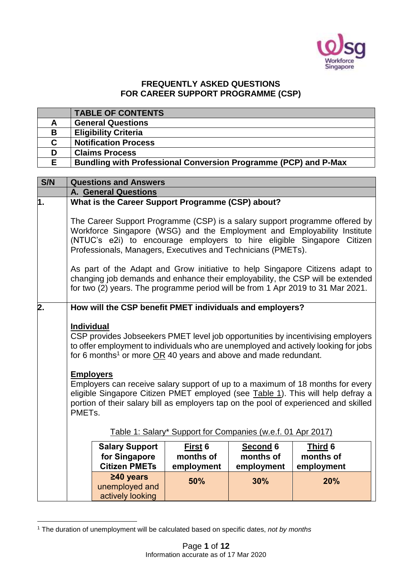

## **FREQUENTLY ASKED QUESTIONS FOR CAREER SUPPORT PROGRAMME (CSP)**

|    | <b>TABLE OF CONTENTS</b>                                               |
|----|------------------------------------------------------------------------|
| А  | <b>General Questions</b>                                               |
| B  | <b>Eligibility Criteria</b>                                            |
| C. | <b>Notification Process</b>                                            |
| D  | <b>Claims Process</b>                                                  |
| F  | <b>Bundling with Professional Conversion Programme (PCP) and P-Max</b> |

| S/N              | <b>Questions and Answers</b>                                                                                                                                                                                                                                                                      |                                                          |            |                                                             |                                                                                     |  |
|------------------|---------------------------------------------------------------------------------------------------------------------------------------------------------------------------------------------------------------------------------------------------------------------------------------------------|----------------------------------------------------------|------------|-------------------------------------------------------------|-------------------------------------------------------------------------------------|--|
|                  | <b>A. General Questions</b>                                                                                                                                                                                                                                                                       |                                                          |            |                                                             |                                                                                     |  |
| 1.               |                                                                                                                                                                                                                                                                                                   | What is the Career Support Programme (CSP) about?        |            |                                                             |                                                                                     |  |
|                  | The Career Support Programme (CSP) is a salary support programme offered by<br>Workforce Singapore (WSG) and the Employment and Employability Institute<br>(NTUC's e2i) to encourage employers to hire eligible Singapore Citizen<br>Professionals, Managers, Executives and Technicians (PMETs). |                                                          |            |                                                             |                                                                                     |  |
|                  | As part of the Adapt and Grow initiative to help Singapore Citizens adapt to<br>changing job demands and enhance their employability, the CSP will be extended<br>for two (2) years. The programme period will be from 1 Apr 2019 to 31 Mar 2021.                                                 |                                                          |            |                                                             |                                                                                     |  |
| $\overline{2}$ . |                                                                                                                                                                                                                                                                                                   | How will the CSP benefit PMET individuals and employers? |            |                                                             |                                                                                     |  |
|                  |                                                                                                                                                                                                                                                                                                   |                                                          |            |                                                             |                                                                                     |  |
|                  | <b>Individual</b>                                                                                                                                                                                                                                                                                 |                                                          |            |                                                             |                                                                                     |  |
|                  | CSP provides Jobseekers PMET level job opportunities by incentivising employers                                                                                                                                                                                                                   |                                                          |            |                                                             |                                                                                     |  |
|                  |                                                                                                                                                                                                                                                                                                   |                                                          |            |                                                             | to offer employment to individuals who are unemployed and actively looking for jobs |  |
|                  | for 6 months <sup>1</sup> or more $OR$ 40 years and above and made redundant.                                                                                                                                                                                                                     |                                                          |            |                                                             |                                                                                     |  |
|                  |                                                                                                                                                                                                                                                                                                   |                                                          |            |                                                             |                                                                                     |  |
|                  | <b>Employers</b>                                                                                                                                                                                                                                                                                  |                                                          |            |                                                             |                                                                                     |  |
|                  | Employers can receive salary support of up to a maximum of 18 months for every<br>eligible Singapore Citizen PMET employed (see Table 1). This will help defray a<br>portion of their salary bill as employers tap on the pool of experienced and skilled                                         |                                                          |            |                                                             |                                                                                     |  |
|                  |                                                                                                                                                                                                                                                                                                   |                                                          |            |                                                             |                                                                                     |  |
|                  | PMET <sub>s</sub> .                                                                                                                                                                                                                                                                               |                                                          |            |                                                             |                                                                                     |  |
|                  |                                                                                                                                                                                                                                                                                                   |                                                          |            |                                                             |                                                                                     |  |
|                  |                                                                                                                                                                                                                                                                                                   |                                                          |            | Table 1: Salary* Support for Companies (w.e.f. 01 Apr 2017) |                                                                                     |  |
|                  |                                                                                                                                                                                                                                                                                                   | <b>Salary Support</b>                                    | First 6    | Second 6                                                    | Third 6                                                                             |  |
|                  |                                                                                                                                                                                                                                                                                                   | for Singapore                                            | months of  | months of                                                   | months of                                                                           |  |
|                  |                                                                                                                                                                                                                                                                                                   | <b>Citizen PMETs</b>                                     | employment | employment                                                  | employment                                                                          |  |
|                  |                                                                                                                                                                                                                                                                                                   | $\geq 40$ years                                          | 50%        | 30%                                                         | 20%                                                                                 |  |
|                  |                                                                                                                                                                                                                                                                                                   | unemployed and                                           |            |                                                             |                                                                                     |  |
|                  | actively looking                                                                                                                                                                                                                                                                                  |                                                          |            |                                                             |                                                                                     |  |

<sup>1</sup> <sup>1</sup> The duration of unemployment will be calculated based on specific dates, *not by months*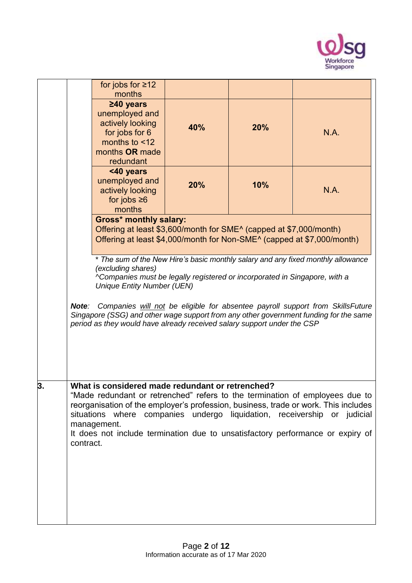

|    |           | for jobs for $\geq 12$<br>months                                                                                                                                                                      |     |     |                                                                                                                                                                                                                                                                                                                                   |
|----|-----------|-------------------------------------------------------------------------------------------------------------------------------------------------------------------------------------------------------|-----|-----|-----------------------------------------------------------------------------------------------------------------------------------------------------------------------------------------------------------------------------------------------------------------------------------------------------------------------------------|
|    |           | $\geq 40$ years<br>unemployed and<br>actively looking<br>for jobs for 6<br>months to <12<br>months OR made<br>redundant                                                                               | 40% | 20% | N.A.                                                                                                                                                                                                                                                                                                                              |
|    |           | <40 years<br>unemployed and<br>actively looking<br>for jobs $\geq 6$<br>months                                                                                                                        | 20% | 10% | N.A.                                                                                                                                                                                                                                                                                                                              |
|    |           | <b>Gross* monthly salary:</b><br>Offering at least \$3,600/month for SME <sup>^</sup> (capped at \$7,000/month)<br>Offering at least \$4,000/month for Non-SME <sup>^</sup> (capped at \$7,000/month) |     |     |                                                                                                                                                                                                                                                                                                                                   |
|    |           | (excluding shares)<br>^Companies must be legally registered or incorporated in Singapore, with a<br><b>Unique Entity Number (UEN)</b>                                                                 |     |     | * The sum of the New Hire's basic monthly salary and any fixed monthly allowance                                                                                                                                                                                                                                                  |
|    | Note:     | period as they would have already received salary support under the CSP                                                                                                                               |     |     | Companies will not be eligible for absentee payroll support from SkillsFuture<br>Singapore (SSG) and other wage support from any other government funding for the same                                                                                                                                                            |
| 3. | contract. | What is considered made redundant or retrenched?<br>management.                                                                                                                                       |     |     | "Made redundant or retrenched" refers to the termination of employees due to<br>reorganisation of the employer's profession, business, trade or work. This includes<br>situations where companies undergo liquidation, receivership or judicial<br>It does not include termination due to unsatisfactory performance or expiry of |
|    |           |                                                                                                                                                                                                       |     |     |                                                                                                                                                                                                                                                                                                                                   |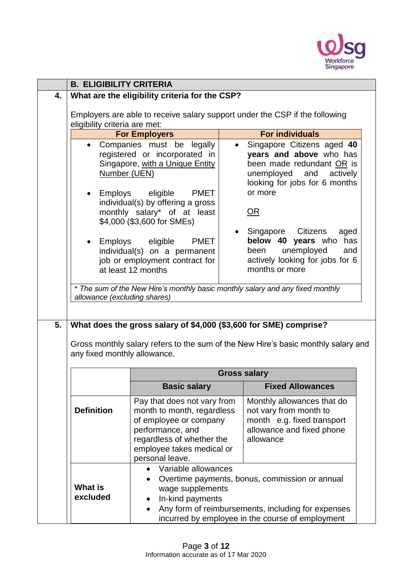

|                                                                                                                   |                                                                                                                                                                                                                                                                                                                                                                                                                                                                                                  | <b>B. ELIGIBILITY CRITERIA</b>                                                                                                                                                                                                                                                                                                                                                                           |  |  |
|-------------------------------------------------------------------------------------------------------------------|--------------------------------------------------------------------------------------------------------------------------------------------------------------------------------------------------------------------------------------------------------------------------------------------------------------------------------------------------------------------------------------------------------------------------------------------------------------------------------------------------|----------------------------------------------------------------------------------------------------------------------------------------------------------------------------------------------------------------------------------------------------------------------------------------------------------------------------------------------------------------------------------------------------------|--|--|
| 4.                                                                                                                | What are the eligibility criteria for the CSP?                                                                                                                                                                                                                                                                                                                                                                                                                                                   |                                                                                                                                                                                                                                                                                                                                                                                                          |  |  |
|                                                                                                                   |                                                                                                                                                                                                                                                                                                                                                                                                                                                                                                  | Employers are able to receive salary support under the CSP if the following                                                                                                                                                                                                                                                                                                                              |  |  |
| eligibility criteria are met:                                                                                     |                                                                                                                                                                                                                                                                                                                                                                                                                                                                                                  |                                                                                                                                                                                                                                                                                                                                                                                                          |  |  |
|                                                                                                                   |                                                                                                                                                                                                                                                                                                                                                                                                                                                                                                  | <b>For individuals</b>                                                                                                                                                                                                                                                                                                                                                                                   |  |  |
| 5.                                                                                                                | <b>For Employers</b><br>Companies must be legally<br>registered or incorporated in<br>Singapore, with a Unique Entity<br>Number (UEN)<br>PMET<br>• Employs eligible<br>individual(s) by offering a gross<br>monthly salary* of at least<br>\$4,000 (\$3,600 for SMEs)<br>• Employs eligible<br>PMET<br>individual(s) on a permanent<br>job or employment contract for<br>at least 12 months<br>allowance (excluding shares)<br>What does the gross salary of \$4,000 (\$3,600 for SME) comprise? | Singapore Citizens aged 40<br>$\bullet$<br>years and above who has<br>been made redundant OR is<br>unemployed and actively<br>looking for jobs for 6 months<br>or more<br>OR<br>Singapore Citizens<br>aged<br>below 40 years who has<br>unemployed<br>been<br>and<br>actively looking for jobs for 6<br>months or more<br>* The sum of the New Hire's monthly basic monthly salary and any fixed monthly |  |  |
| Gross monthly salary refers to the sum of the New Hire's basic monthly salary and<br>any fixed monthly allowance. |                                                                                                                                                                                                                                                                                                                                                                                                                                                                                                  |                                                                                                                                                                                                                                                                                                                                                                                                          |  |  |
|                                                                                                                   |                                                                                                                                                                                                                                                                                                                                                                                                                                                                                                  |                                                                                                                                                                                                                                                                                                                                                                                                          |  |  |
|                                                                                                                   |                                                                                                                                                                                                                                                                                                                                                                                                                                                                                                  | <b>Gross salary</b>                                                                                                                                                                                                                                                                                                                                                                                      |  |  |
|                                                                                                                   | <b>Basic salary</b>                                                                                                                                                                                                                                                                                                                                                                                                                                                                              | <b>Fixed Allowances</b>                                                                                                                                                                                                                                                                                                                                                                                  |  |  |
| <b>Definition</b>                                                                                                 | Pay that does not vary from<br>month to month, regardless<br>of employee or company<br>performance, and<br>regardless of whether the<br>employee takes medical or<br>personal leave.                                                                                                                                                                                                                                                                                                             | Monthly allowances that do<br>not vary from month to<br>month e.g. fixed transport<br>allowance and fixed phone<br>allowance                                                                                                                                                                                                                                                                             |  |  |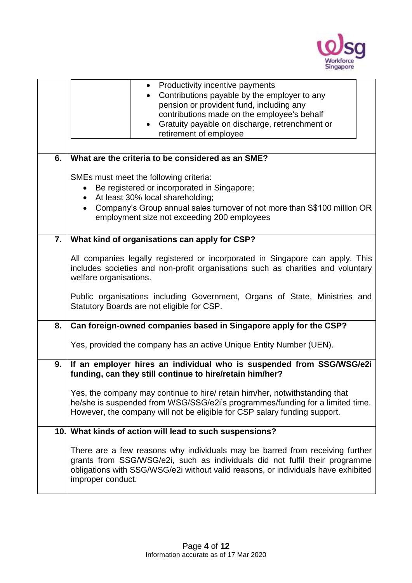

|    | Productivity incentive payments<br>$\bullet$                                                                                                                                                                                                                          |  |  |  |  |
|----|-----------------------------------------------------------------------------------------------------------------------------------------------------------------------------------------------------------------------------------------------------------------------|--|--|--|--|
|    | Contributions payable by the employer to any<br>$\bullet$                                                                                                                                                                                                             |  |  |  |  |
|    | pension or provident fund, including any                                                                                                                                                                                                                              |  |  |  |  |
|    | contributions made on the employee's behalf                                                                                                                                                                                                                           |  |  |  |  |
|    | Gratuity payable on discharge, retrenchment or<br>$\bullet$                                                                                                                                                                                                           |  |  |  |  |
|    | retirement of employee                                                                                                                                                                                                                                                |  |  |  |  |
|    |                                                                                                                                                                                                                                                                       |  |  |  |  |
| 6. | What are the criteria to be considered as an SME?                                                                                                                                                                                                                     |  |  |  |  |
|    | SMEs must meet the following criteria:                                                                                                                                                                                                                                |  |  |  |  |
|    | Be registered or incorporated in Singapore;<br>$\bullet$                                                                                                                                                                                                              |  |  |  |  |
|    | At least 30% local shareholding;<br>$\bullet$                                                                                                                                                                                                                         |  |  |  |  |
|    | Company's Group annual sales turnover of not more than S\$100 million OR                                                                                                                                                                                              |  |  |  |  |
|    | employment size not exceeding 200 employees                                                                                                                                                                                                                           |  |  |  |  |
| 7. | What kind of organisations can apply for CSP?                                                                                                                                                                                                                         |  |  |  |  |
|    | All companies legally registered or incorporated in Singapore can apply. This<br>includes societies and non-profit organisations such as charities and voluntary<br>welfare organisations.                                                                            |  |  |  |  |
|    | Public organisations including Government, Organs of State, Ministries and<br>Statutory Boards are not eligible for CSP.                                                                                                                                              |  |  |  |  |
| 8. | Can foreign-owned companies based in Singapore apply for the CSP?                                                                                                                                                                                                     |  |  |  |  |
|    | Yes, provided the company has an active Unique Entity Number (UEN).                                                                                                                                                                                                   |  |  |  |  |
| 9. | If an employer hires an individual who is suspended from SSG/WSG/e2i<br>funding, can they still continue to hire/retain him/her?                                                                                                                                      |  |  |  |  |
|    | Yes, the company may continue to hire/ retain him/her, notwithstanding that<br>he/she is suspended from WSG/SSG/e2i's programmes/funding for a limited time.<br>However, the company will not be eligible for CSP salary funding support.                             |  |  |  |  |
|    | 10. What kinds of action will lead to such suspensions?                                                                                                                                                                                                               |  |  |  |  |
|    | There are a few reasons why individuals may be barred from receiving further<br>grants from SSG/WSG/e2i, such as individuals did not fulfil their programme<br>obligations with SSG/WSG/e2i without valid reasons, or individuals have exhibited<br>improper conduct. |  |  |  |  |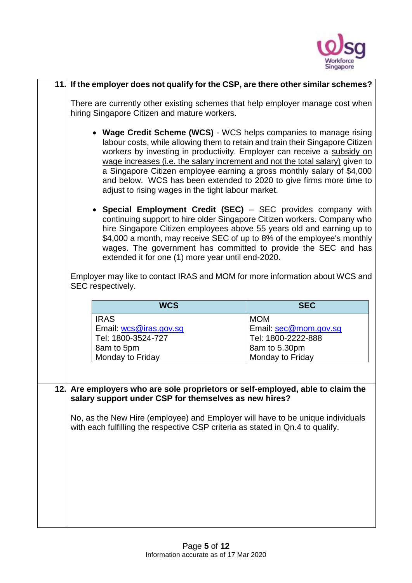

| 11. If the employer does not qualify for the CSP, are there other similar schemes?                                                                                                                                                                                                                                                                                                                                                                                                                                   |                                                                            |  |
|----------------------------------------------------------------------------------------------------------------------------------------------------------------------------------------------------------------------------------------------------------------------------------------------------------------------------------------------------------------------------------------------------------------------------------------------------------------------------------------------------------------------|----------------------------------------------------------------------------|--|
| There are currently other existing schemes that help employer manage cost when<br>hiring Singapore Citizen and mature workers.                                                                                                                                                                                                                                                                                                                                                                                       |                                                                            |  |
| • Wage Credit Scheme (WCS) - WCS helps companies to manage rising<br>labour costs, while allowing them to retain and train their Singapore Citizen<br>workers by investing in productivity. Employer can receive a subsidy on<br>wage increases (i.e. the salary increment and not the total salary) given to<br>a Singapore Citizen employee earning a gross monthly salary of \$4,000<br>and below. WCS has been extended to 2020 to give firms more time to<br>adjust to rising wages in the tight labour market. |                                                                            |  |
| • Special Employment Credit (SEC) - SEC provides company with<br>continuing support to hire older Singapore Citizen workers. Company who<br>hire Singapore Citizen employees above 55 years old and earning up to<br>\$4,000 a month, may receive SEC of up to 8% of the employee's monthly<br>wages. The government has committed to provide the SEC and has<br>extended it for one (1) more year until end-2020.                                                                                                   |                                                                            |  |
| Employer may like to contact IRAS and MOM for more information about WCS and<br>SEC respectively.                                                                                                                                                                                                                                                                                                                                                                                                                    |                                                                            |  |
| <b>WCS</b>                                                                                                                                                                                                                                                                                                                                                                                                                                                                                                           | <b>SEC</b>                                                                 |  |
| <b>IRAS</b>                                                                                                                                                                                                                                                                                                                                                                                                                                                                                                          |                                                                            |  |
| Email: wcs@iras.gov.sg<br>Tel: 1800-3524-727                                                                                                                                                                                                                                                                                                                                                                                                                                                                         | <b>MOM</b><br>Email: sec@mom.gov.sg<br>Tel: 1800-2222-888<br>8am to 5.30pm |  |
| 8am to 5pm<br>Monday to Friday                                                                                                                                                                                                                                                                                                                                                                                                                                                                                       | Monday to Friday                                                           |  |
|                                                                                                                                                                                                                                                                                                                                                                                                                                                                                                                      |                                                                            |  |
| 12. Are employers who are sole proprietors or self-employed, able to claim the<br>salary support under CSP for themselves as new hires?                                                                                                                                                                                                                                                                                                                                                                              |                                                                            |  |
| No, as the New Hire (employee) and Employer will have to be unique individuals<br>with each fulfilling the respective CSP criteria as stated in Qn.4 to qualify.                                                                                                                                                                                                                                                                                                                                                     |                                                                            |  |
|                                                                                                                                                                                                                                                                                                                                                                                                                                                                                                                      |                                                                            |  |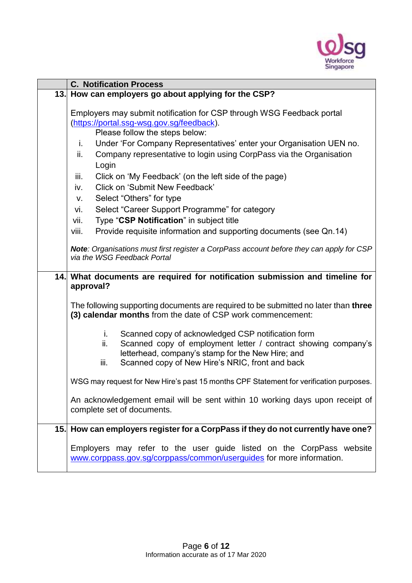

| <b>C. Notification Process</b>                                                                                                                                                                                                                                                                                                              |
|---------------------------------------------------------------------------------------------------------------------------------------------------------------------------------------------------------------------------------------------------------------------------------------------------------------------------------------------|
| 13. How can employers go about applying for the CSP?                                                                                                                                                                                                                                                                                        |
| Employers may submit notification for CSP through WSG Feedback portal<br>(https://portal.ssg-wsg.gov.sg/feedback).<br>Please follow the steps below:<br>Under 'For Company Representatives' enter your Organisation UEN no.<br>i.<br>Company representative to login using CorpPass via the Organisation<br>ii.<br>Login                    |
| iii.<br>Click on 'My Feedback' (on the left side of the page)<br><b>Click on 'Submit New Feedback'</b><br>iv.<br>Select "Others" for type<br>V.<br>Select "Career Support Programme" for category<br>vi.<br>Type "CSP Notification" in subject title<br>vii.<br>Provide requisite information and supporting documents (see Qn.14)<br>viii. |
| Note: Organisations must first register a CorpPass account before they can apply for CSP<br>via the WSG Feedback Portal                                                                                                                                                                                                                     |
| 14. What documents are required for notification submission and timeline for<br>approval?                                                                                                                                                                                                                                                   |
| The following supporting documents are required to be submitted no later than three<br>(3) calendar months from the date of CSP work commencement:                                                                                                                                                                                          |
| Scanned copy of acknowledged CSP notification form<br>i.<br>Scanned copy of employment letter / contract showing company's<br>ii.<br>letterhead, company's stamp for the New Hire; and<br>Scanned copy of New Hire's NRIC, front and back<br>iii.                                                                                           |
| WSG may request for New Hire's past 15 months CPF Statement for verification purposes.                                                                                                                                                                                                                                                      |
| An acknowledgement email will be sent within 10 working days upon receipt of<br>complete set of documents.                                                                                                                                                                                                                                  |
| 15. How can employers register for a CorpPass if they do not currently have one?                                                                                                                                                                                                                                                            |
| Employers may refer to the user guide listed on the CorpPass website<br>www.corppass.gov.sg/corppass/common/userguides for more information.                                                                                                                                                                                                |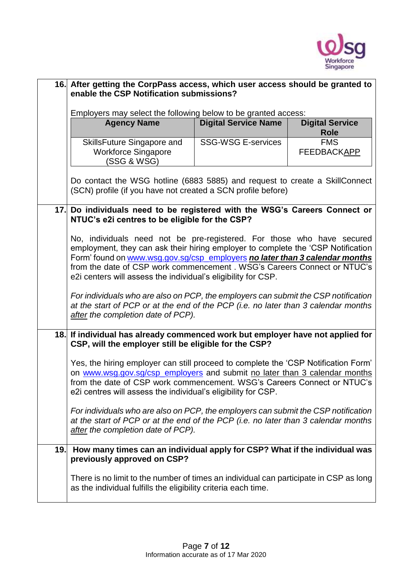

|                                                                                                                                                                                                                | 16. After getting the CorpPass access, which user access should be granted to<br>enable the CSP Notification submissions?                                                                                                                                                                                                                                                              |                             |                                       |  |  |
|----------------------------------------------------------------------------------------------------------------------------------------------------------------------------------------------------------------|----------------------------------------------------------------------------------------------------------------------------------------------------------------------------------------------------------------------------------------------------------------------------------------------------------------------------------------------------------------------------------------|-----------------------------|---------------------------------------|--|--|
|                                                                                                                                                                                                                | Employers may select the following below to be granted access:                                                                                                                                                                                                                                                                                                                         |                             |                                       |  |  |
|                                                                                                                                                                                                                | <b>Agency Name</b>                                                                                                                                                                                                                                                                                                                                                                     | <b>Digital Service Name</b> | <b>Digital Service</b><br><b>Role</b> |  |  |
|                                                                                                                                                                                                                | SkillsFuture Singapore and<br><b>Workforce Singapore</b><br>(SSG & WSG)                                                                                                                                                                                                                                                                                                                | <b>SSG-WSG E-services</b>   | <b>FMS</b><br><b>FEEDBACKAPP</b>      |  |  |
|                                                                                                                                                                                                                | Do contact the WSG hotline (6883 5885) and request to create a SkillConnect<br>(SCN) profile (if you have not created a SCN profile before)                                                                                                                                                                                                                                            |                             |                                       |  |  |
|                                                                                                                                                                                                                | 17. Do individuals need to be registered with the WSG's Careers Connect or<br>NTUC's e2i centres to be eligible for the CSP?                                                                                                                                                                                                                                                           |                             |                                       |  |  |
|                                                                                                                                                                                                                | No, individuals need not be pre-registered. For those who have secured<br>employment, they can ask their hiring employer to complete the 'CSP Notification<br>Form' found on www.wsg.gov.sg/csp_employers no later than 3 calendar months<br>from the date of CSP work commencement . WSG's Careers Connect or NTUC's<br>e2i centers will assess the individual's eligibility for CSP. |                             |                                       |  |  |
| For individuals who are also on PCP, the employers can submit the CSP notification<br>at the start of PCP or at the end of the PCP (i.e. no later than 3 calendar months<br>after the completion date of PCP). |                                                                                                                                                                                                                                                                                                                                                                                        |                             |                                       |  |  |
| 18.                                                                                                                                                                                                            | If individual has already commenced work but employer have not applied for<br>CSP, will the employer still be eligible for the CSP?                                                                                                                                                                                                                                                    |                             |                                       |  |  |
|                                                                                                                                                                                                                | Yes, the hiring employer can still proceed to complete the 'CSP Notification Form'<br>on www.wsg.gov.sg/csp_employers and submit no later than 3 calendar months<br>from the date of CSP work commencement. WSG's Careers Connect or NTUC's<br>e2i centres will assess the individual's eligibility for CSP.                                                                           |                             |                                       |  |  |
|                                                                                                                                                                                                                | For individuals who are also on PCP, the employers can submit the CSP notification<br>at the start of PCP or at the end of the PCP (i.e. no later than 3 calendar months<br>after the completion date of PCP).                                                                                                                                                                         |                             |                                       |  |  |
| 19.                                                                                                                                                                                                            | How many times can an individual apply for CSP? What if the individual was<br>previously approved on CSP?                                                                                                                                                                                                                                                                              |                             |                                       |  |  |
|                                                                                                                                                                                                                | There is no limit to the number of times an individual can participate in CSP as long<br>as the individual fulfills the eligibility criteria each time.                                                                                                                                                                                                                                |                             |                                       |  |  |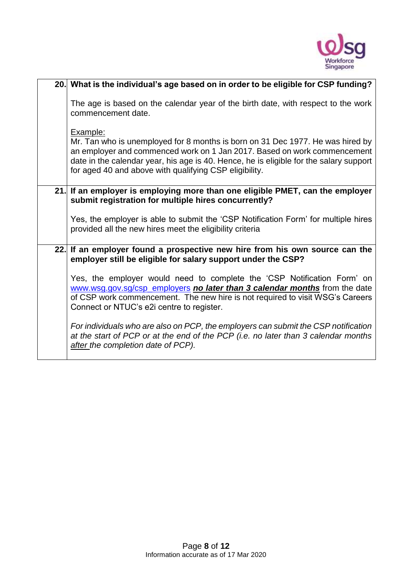

| 20. What is the individual's age based on in order to be eligible for CSP funding?                                                                                                                                                                                                                                         |  |  |
|----------------------------------------------------------------------------------------------------------------------------------------------------------------------------------------------------------------------------------------------------------------------------------------------------------------------------|--|--|
| The age is based on the calendar year of the birth date, with respect to the work<br>commencement date.                                                                                                                                                                                                                    |  |  |
| Example:<br>Mr. Tan who is unemployed for 8 months is born on 31 Dec 1977. He was hired by<br>an employer and commenced work on 1 Jan 2017. Based on work commencement<br>date in the calendar year, his age is 40. Hence, he is eligible for the salary support<br>for aged 40 and above with qualifying CSP eligibility. |  |  |
| 21. If an employer is employing more than one eligible PMET, can the employer<br>submit registration for multiple hires concurrently?                                                                                                                                                                                      |  |  |
| Yes, the employer is able to submit the 'CSP Notification Form' for multiple hires<br>provided all the new hires meet the eligibility criteria                                                                                                                                                                             |  |  |
| 22. If an employer found a prospective new hire from his own source can the<br>employer still be eligible for salary support under the CSP?                                                                                                                                                                                |  |  |
| Yes, the employer would need to complete the 'CSP Notification Form' on<br>www.wsg.gov.sg/csp_employers no later than 3 calendar months from the date<br>of CSP work commencement. The new hire is not required to visit WSG's Careers<br>Connect or NTUC's e2i centre to register.                                        |  |  |
| For individuals who are also on PCP, the employers can submit the CSP notification<br>at the start of PCP or at the end of the PCP (i.e. no later than 3 calendar months<br>after the completion date of PCP).                                                                                                             |  |  |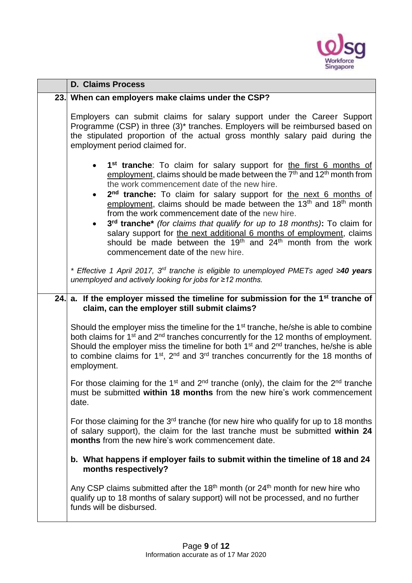

| <b>D. Claims Process</b>                                                                                                                                                                                                                                                                                                                                                                                                                                                                                                                                                                                                                                                                                                        |  |  |
|---------------------------------------------------------------------------------------------------------------------------------------------------------------------------------------------------------------------------------------------------------------------------------------------------------------------------------------------------------------------------------------------------------------------------------------------------------------------------------------------------------------------------------------------------------------------------------------------------------------------------------------------------------------------------------------------------------------------------------|--|--|
| 23. When can employers make claims under the CSP?                                                                                                                                                                                                                                                                                                                                                                                                                                                                                                                                                                                                                                                                               |  |  |
| Employers can submit claims for salary support under the Career Support<br>Programme (CSP) in three (3) <sup>*</sup> tranches. Employers will be reimbursed based on<br>the stipulated proportion of the actual gross monthly salary paid during the<br>employment period claimed for.                                                                                                                                                                                                                                                                                                                                                                                                                                          |  |  |
| 1 <sup>st</sup> tranche: To claim for salary support for the first 6 months of<br>employment, claims should be made between the $7th$ and $12th$ month from<br>the work commencement date of the new hire.<br>2 <sup>nd</sup> tranche: To claim for salary support for the next 6 months of<br>employment, claims should be made between the 13 <sup>th</sup> and 18 <sup>th</sup> month<br>from the work commencement date of the new hire.<br>3rd tranche* (for claims that qualify for up to 18 months): To claim for<br>salary support for the next additional 6 months of employment, claims<br>should be made between the 19 <sup>th</sup> and 24 <sup>th</sup> month from the work<br>commencement date of the new hire. |  |  |
| * Effective 1 April 2017, 3 <sup>rd</sup> tranche is eligible to unemployed PMETs aged $\geq$ 40 years<br>unemployed and actively looking for jobs for ≥12 months.                                                                                                                                                                                                                                                                                                                                                                                                                                                                                                                                                              |  |  |
| 24. a. If the employer missed the timeline for submission for the $1st$ tranche of<br>claim, can the employer still submit claims?                                                                                                                                                                                                                                                                                                                                                                                                                                                                                                                                                                                              |  |  |
| Should the employer miss the timeline for the 1 <sup>st</sup> tranche, he/she is able to combine<br>both claims for 1 <sup>st</sup> and 2 <sup>nd</sup> tranches concurrently for the 12 months of employment.<br>Should the employer miss the timeline for both $1st$ and $2nd$ tranches, he/she is able<br>to combine claims for $1st$ , $2nd$ and $3rd$ tranches concurrently for the 18 months of<br>employment.                                                                                                                                                                                                                                                                                                            |  |  |
| For those claiming for the 1 <sup>st</sup> and 2 <sup>nd</sup> tranche (only), the claim for the 2 <sup>nd</sup> tranche<br>must be submitted within 18 months from the new hire's work commencement<br>date.                                                                                                                                                                                                                                                                                                                                                                                                                                                                                                                   |  |  |
| For those claiming for the 3 <sup>rd</sup> tranche (for new hire who qualify for up to 18 months<br>of salary support), the claim for the last tranche must be submitted within 24<br>months from the new hire's work commencement date.                                                                                                                                                                                                                                                                                                                                                                                                                                                                                        |  |  |
| b. What happens if employer fails to submit within the timeline of 18 and 24<br>months respectively?                                                                                                                                                                                                                                                                                                                                                                                                                                                                                                                                                                                                                            |  |  |
| Any CSP claims submitted after the 18 <sup>th</sup> month (or $24th$ month for new hire who<br>qualify up to 18 months of salary support) will not be processed, and no further<br>funds will be disbursed.                                                                                                                                                                                                                                                                                                                                                                                                                                                                                                                     |  |  |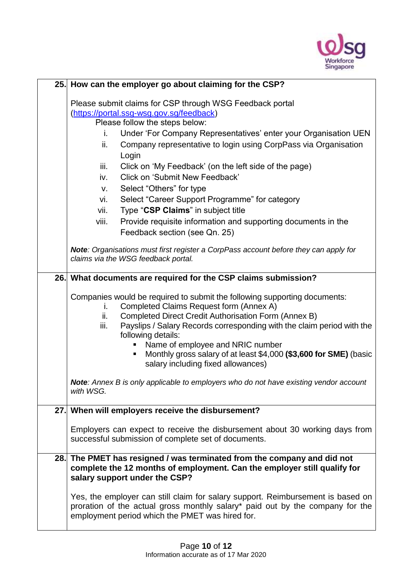

| 25. How can the employer go about claiming for the CSP?  |                                                                                                                                  |  |  |  |
|----------------------------------------------------------|----------------------------------------------------------------------------------------------------------------------------------|--|--|--|
| Please submit claims for CSP through WSG Feedback portal |                                                                                                                                  |  |  |  |
| (https://portal.ssg-wsg.gov.sg/feedback)                 |                                                                                                                                  |  |  |  |
|                                                          | Please follow the steps below:                                                                                                   |  |  |  |
| i.                                                       | Under 'For Company Representatives' enter your Organisation UEN                                                                  |  |  |  |
| ii.                                                      | Company representative to login using CorpPass via Organisation                                                                  |  |  |  |
|                                                          | Login                                                                                                                            |  |  |  |
| iii.                                                     | Click on 'My Feedback' (on the left side of the page)                                                                            |  |  |  |
| iv.                                                      | <b>Click on 'Submit New Feedback'</b>                                                                                            |  |  |  |
| V.                                                       | Select "Others" for type                                                                                                         |  |  |  |
| vi.                                                      | Select "Career Support Programme" for category                                                                                   |  |  |  |
| vii.                                                     | Type "CSP Claims" in subject title                                                                                               |  |  |  |
| viii.                                                    | Provide requisite information and supporting documents in the                                                                    |  |  |  |
|                                                          | Feedback section (see Qn. 25)                                                                                                    |  |  |  |
|                                                          | Note: Organisations must first register a CorpPass account before they can apply for                                             |  |  |  |
|                                                          | claims via the WSG feedback portal.                                                                                              |  |  |  |
|                                                          | 26. What documents are required for the CSP claims submission?                                                                   |  |  |  |
|                                                          |                                                                                                                                  |  |  |  |
|                                                          | Companies would be required to submit the following supporting documents:                                                        |  |  |  |
| ı.<br>ii.                                                | Completed Claims Request form (Annex A)<br>Completed Direct Credit Authorisation Form (Annex B)                                  |  |  |  |
| iii.                                                     | Payslips / Salary Records corresponding with the claim period with the                                                           |  |  |  |
|                                                          | following details:                                                                                                               |  |  |  |
|                                                          |                                                                                                                                  |  |  |  |
|                                                          | Name of employee and NRIC number                                                                                                 |  |  |  |
|                                                          | Monthly gross salary of at least \$4,000 (\$3,600 for SME) (basic<br>п                                                           |  |  |  |
|                                                          | salary including fixed allowances)                                                                                               |  |  |  |
|                                                          | Note: Annex B is only applicable to employers who do not have existing vendor account                                            |  |  |  |
| with WSG.                                                |                                                                                                                                  |  |  |  |
|                                                          | 27. When will employers receive the disbursement?                                                                                |  |  |  |
|                                                          |                                                                                                                                  |  |  |  |
|                                                          | Employers can expect to receive the disbursement about 30 working days from                                                      |  |  |  |
|                                                          | successful submission of complete set of documents.                                                                              |  |  |  |
|                                                          | 28. The PMET has resigned / was terminated from the company and did not                                                          |  |  |  |
|                                                          | complete the 12 months of employment. Can the employer still qualify for                                                         |  |  |  |
|                                                          | salary support under the CSP?                                                                                                    |  |  |  |
|                                                          | Yes, the employer can still claim for salary support. Reimbursement is based on                                                  |  |  |  |
|                                                          | proration of the actual gross monthly salary* paid out by the company for the<br>employment period which the PMET was hired for. |  |  |  |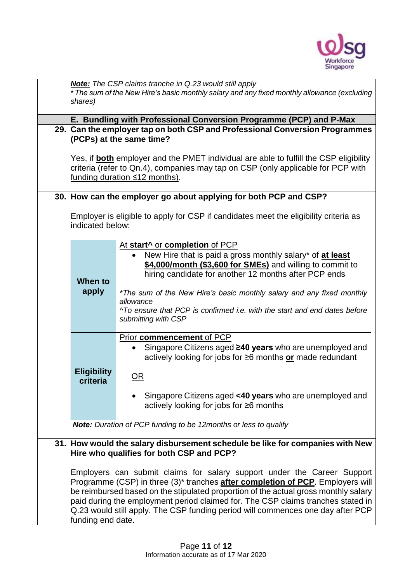

| Note: The CSP claims tranche in Q.23 would still apply                                |                                                                                                    |  |  |  |
|---------------------------------------------------------------------------------------|----------------------------------------------------------------------------------------------------|--|--|--|
|                                                                                       | * The sum of the New Hire's basic monthly salary and any fixed monthly allowance (excluding        |  |  |  |
| shares)                                                                               |                                                                                                    |  |  |  |
|                                                                                       | E. Bundling with Professional Conversion Programme (PCP) and P-Max                                 |  |  |  |
| 29. Can the employer tap on both CSP and Professional Conversion Programmes           |                                                                                                    |  |  |  |
| (PCPs) at the same time?                                                              |                                                                                                    |  |  |  |
|                                                                                       |                                                                                                    |  |  |  |
| Yes, if both employer and the PMET individual are able to fulfill the CSP eligibility |                                                                                                    |  |  |  |
| criteria (refer to Qn.4), companies may tap on CSP (only applicable for PCP with      |                                                                                                    |  |  |  |
|                                                                                       | funding duration $\leq 12$ months).                                                                |  |  |  |
|                                                                                       |                                                                                                    |  |  |  |
|                                                                                       | 30. How can the employer go about applying for both PCP and CSP?                                   |  |  |  |
|                                                                                       | Employer is eligible to apply for CSP if candidates meet the eligibility criteria as               |  |  |  |
| indicated below:                                                                      |                                                                                                    |  |  |  |
|                                                                                       |                                                                                                    |  |  |  |
|                                                                                       | At start <sup>^</sup> or completion of PCP                                                         |  |  |  |
|                                                                                       | New Hire that is paid a gross monthly salary* of at least                                          |  |  |  |
|                                                                                       | \$4,000/month (\$3,600 for SMEs) and willing to commit to                                          |  |  |  |
|                                                                                       | hiring candidate for another 12 months after PCP ends                                              |  |  |  |
| When to                                                                               |                                                                                                    |  |  |  |
| apply                                                                                 | *The sum of the New Hire's basic monthly salary and any fixed monthly                              |  |  |  |
|                                                                                       | allowance<br>^To ensure that PCP is confirmed i.e. with the start and end dates before             |  |  |  |
|                                                                                       | submitting with CSP                                                                                |  |  |  |
|                                                                                       |                                                                                                    |  |  |  |
|                                                                                       | Prior commencement of PCP                                                                          |  |  |  |
|                                                                                       | Singapore Citizens aged ≥40 years who are unemployed and                                           |  |  |  |
|                                                                                       | actively looking for jobs for ≥6 months or made redundant                                          |  |  |  |
| <b>Eligibility</b>                                                                    |                                                                                                    |  |  |  |
| criteria                                                                              | OR                                                                                                 |  |  |  |
|                                                                                       | Singapore Citizens aged <40 years who are unemployed and                                           |  |  |  |
|                                                                                       | actively looking for jobs for ≥6 months                                                            |  |  |  |
|                                                                                       |                                                                                                    |  |  |  |
|                                                                                       | <b>Note:</b> Duration of PCP funding to be 12months or less to qualify                             |  |  |  |
|                                                                                       |                                                                                                    |  |  |  |
|                                                                                       | 31. How would the salary disbursement schedule be like for companies with New                      |  |  |  |
|                                                                                       | Hire who qualifies for both CSP and PCP?                                                           |  |  |  |
| Employers can submit claims for salary support under the Career Support               |                                                                                                    |  |  |  |
|                                                                                       | Programme (CSP) in three (3) <sup>*</sup> tranches <b>after completion of PCP</b> . Employers will |  |  |  |
|                                                                                       | be reimbursed based on the stipulated proportion of the actual gross monthly salary                |  |  |  |
|                                                                                       | paid during the employment period claimed for. The CSP claims tranches stated in                   |  |  |  |
|                                                                                       | Q.23 would still apply. The CSP funding period will commences one day after PCP                    |  |  |  |
| funding end date.                                                                     |                                                                                                    |  |  |  |